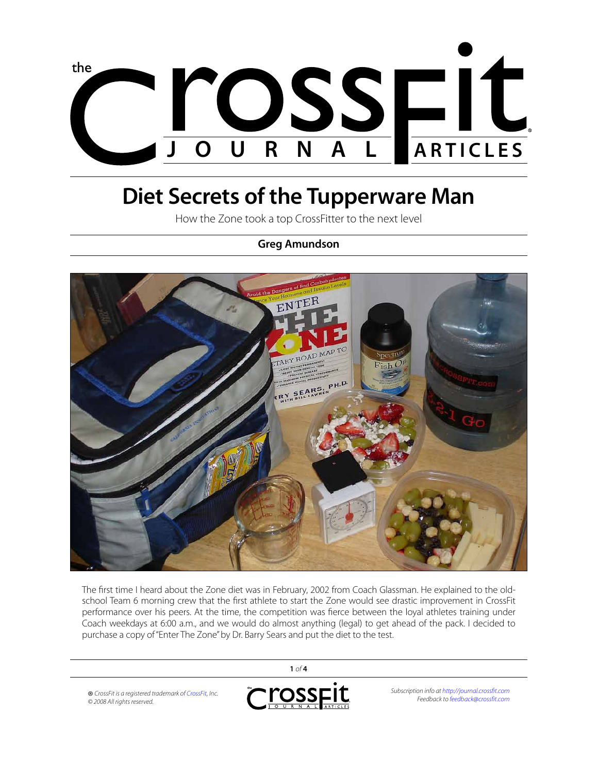

# **Diet Secrets of the Tupperware Man**

How the Zone took a top CrossFitter to the next level

## **Greg Amundson**



The first time I heard about the Zone diet was in February, 2002 from Coach Glassman. He explained to the oldschool Team 6 morning crew that the first athlete to start the Zone would see drastic improvement in CrossFit performance over his peers. At the time, the competition was fierce between the loyal athletes training under Coach weekdays at 6:00 a.m., and we would do almost anything (legal) to get ahead of the pack. I decided to purchase a copy of "Enter The Zone" by Dr. Barry Sears and put the diet to the test.

ross<sub>FIt</sub> *Subscription info at<http://journal.crossfit.com>* ® *CrossFit is a registered trademark of [CrossFit,](http://www.crossfit.com) Inc. Feedback to [feedback@crossfit.com](mailto:feedback@crossfit.com) © 2008 All rights reserved.*

**1** *of* **4**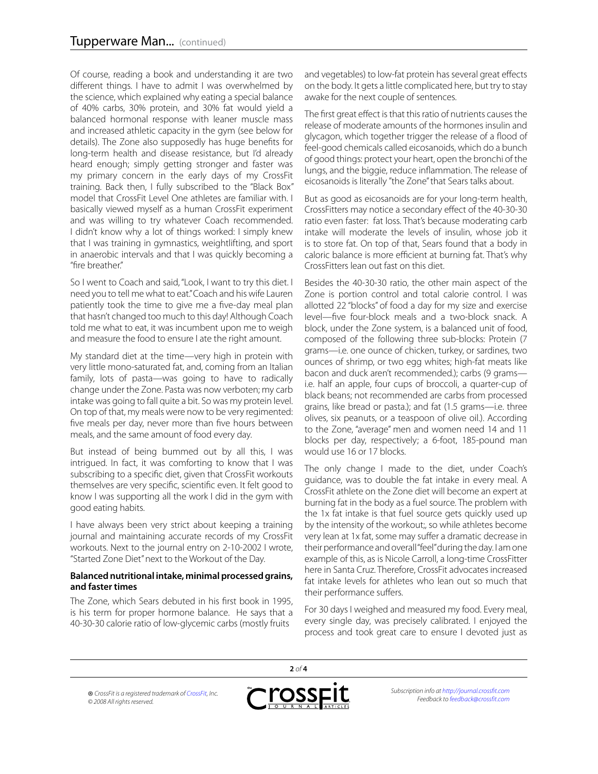Of course, reading a book and understanding it are two different things. I have to admit I was overwhelmed by the science, which explained why eating a special balance of 40% carbs, 30% protein, and 30% fat would yield a balanced hormonal response with leaner muscle mass and increased athletic capacity in the gym (see below for details). The Zone also supposedly has huge benefits for long-term health and disease resistance, but I'd already heard enough; simply getting stronger and faster was my primary concern in the early days of my CrossFit training. Back then, I fully subscribed to the "Black Box" model that CrossFit Level One athletes are familiar with. I basically viewed myself as a human CrossFit experiment and was willing to try whatever Coach recommended. I didn't know why a lot of things worked: I simply knew that I was training in gymnastics, weightlifting, and sport in anaerobic intervals and that I was quickly becoming a "fire breather."

So I went to Coach and said, "Look, I want to try this diet. I need you to tell me what to eat." Coach and his wife Lauren patiently took the time to give me a five-day meal plan that hasn't changed too much to this day! Although Coach told me what to eat, it was incumbent upon me to weigh and measure the food to ensure I ate the right amount.

My standard diet at the time—very high in protein with very little mono-saturated fat, and, coming from an Italian family, lots of pasta—was going to have to radically change under the Zone. Pasta was now verboten; my carb intake was going to fall quite a bit. So was my protein level. On top of that, my meals were now to be very regimented: five meals per day, never more than five hours between meals, and the same amount of food every day.

But instead of being bummed out by all this, I was intrigued. In fact, it was comforting to know that I was subscribing to a specific diet, given that CrossFit workouts themselves are very specific, scientific even. It felt good to know I was supporting all the work I did in the gym with good eating habits.

I have always been very strict about keeping a training journal and maintaining accurate records of my CrossFit workouts. Next to the journal entry on 2-10-2002 I wrote, "Started Zone Diet" next to the Workout of the Day.

#### **Balanced nutritional intake, minimal processed grains, and faster times**

The Zone, which Sears debuted in his first book in 1995, is his term for proper hormone balance. He says that a 40-30-30 calorie ratio of low-glycemic carbs (mostly fruits

and vegetables) to low-fat protein has several great effects on the body. It gets a little complicated here, but try to stay awake for the next couple of sentences.

The first great effect is that this ratio of nutrients causes the release of moderate amounts of the hormones insulin and glycagon, which together trigger the release of a flood of feel-good chemicals called eicosanoids, which do a bunch of good things: protect your heart, open the bronchi of the lungs, and the biggie, reduce inflammation. The release of eicosanoids is literally "the Zone" that Sears talks about.

But as good as eicosanoids are for your long-term health, CrossFitters may notice a secondary effect of the 40-30-30 ratio even faster: fat loss. That's because moderating carb intake will moderate the levels of insulin, whose job it is to store fat. On top of that, Sears found that a body in caloric balance is more efficient at burning fat. That's why CrossFitters lean out fast on this diet.

Besides the 40-30-30 ratio, the other main aspect of the Zone is portion control and total calorie control. I was allotted 22 "blocks" of food a day for my size and exercise level—five four-block meals and a two-block snack. A block, under the Zone system, is a balanced unit of food, composed of the following three sub-blocks: Protein (7 grams—i.e. one ounce of chicken, turkey, or sardines, two ounces of shrimp, or two egg whites; high-fat meats like bacon and duck aren't recommended.); carbs (9 grams i.e. half an apple, four cups of broccoli, a quarter-cup of black beans; not recommended are carbs from processed grains, like bread or pasta.); and fat (1.5 grams—i.e. three olives, six peanuts, or a teaspoon of olive oil.). According to the Zone, "average" men and women need 14 and 11 blocks per day, respectively; a 6-foot, 185-pound man would use 16 or 17 blocks.

The only change I made to the diet, under Coach's guidance, was to double the fat intake in every meal. A CrossFit athlete on the Zone diet will become an expert at burning fat in the body as a fuel source. The problem with the 1x fat intake is that fuel source gets quickly used up by the intensity of the workout;, so while athletes become very lean at 1x fat, some may suffer a dramatic decrease in their performance and overall "feel" during the day. I am one example of this, as is Nicole Carroll, a long-time CrossFitter here in Santa Cruz. Therefore, CrossFit advocates increased fat intake levels for athletes who lean out so much that their performance suffers.

For 30 days I weighed and measured my food. Every meal, every single day, was precisely calibrated. I enjoyed the process and took great care to ensure I devoted just as

® *CrossFit is a registered trademark of [CrossFit,](http://www.crossfit.com) Inc. © 2008 All rights reserved.*



**2** *of* **4**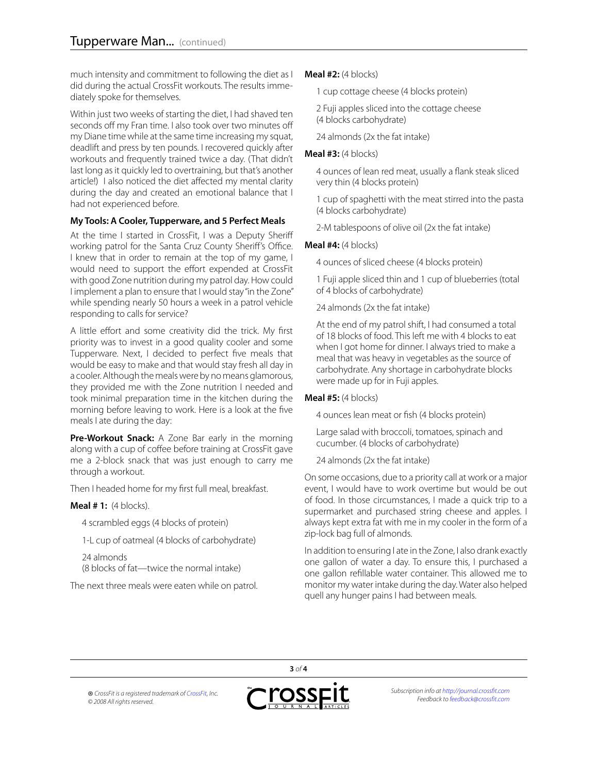much intensity and commitment to following the diet as I did during the actual CrossFit workouts. The results immediately spoke for themselves.

Within just two weeks of starting the diet, I had shaved ten seconds off my Fran time. I also took over two minutes off my Diane time while at the same time increasing my squat, deadlift and press by ten pounds. I recovered quickly after workouts and frequently trained twice a day. (That didn't last long as it quickly led to overtraining, but that's another article!) I also noticed the diet affected my mental clarity during the day and created an emotional balance that I had not experienced before.

### **My Tools: A Cooler, Tupperware, and 5 Perfect Meals**

At the time I started in CrossFit, I was a Deputy Sheriff working patrol for the Santa Cruz County Sheriff's Office. I knew that in order to remain at the top of my game, I would need to support the effort expended at CrossFit with good Zone nutrition during my patrol day. How could I implement a plan to ensure that I would stay "in the Zone" while spending nearly 50 hours a week in a patrol vehicle responding to calls for service?

A little effort and some creativity did the trick. My first priority was to invest in a good quality cooler and some Tupperware. Next, I decided to perfect five meals that would be easy to make and that would stay fresh all day in a cooler. Although the meals were by no means glamorous, they provided me with the Zone nutrition I needed and took minimal preparation time in the kitchen during the morning before leaving to work. Here is a look at the five meals I ate during the day:

**Pre-Workout Snack:** A Zone Bar early in the morning along with a cup of coffee before training at CrossFit gave me a 2-block snack that was just enough to carry me through a workout.

Then I headed home for my first full meal, breakfast.

### **Meal # 1:** (4 blocks).

4 scrambled eggs (4 blocks of protein)

1-L cup of oatmeal (4 blocks of carbohydrate)

24 almonds (8 blocks of fat—twice the normal intake)

The next three meals were eaten while on patrol.

### **Meal #2:** (4 blocks)

1 cup cottage cheese (4 blocks protein)

2 Fuji apples sliced into the cottage cheese (4 blocks carbohydrate)

24 almonds (2x the fat intake)

#### **Meal #3:** (4 blocks)

4 ounces of lean red meat, usually a flank steak sliced very thin (4 blocks protein)

1 cup of spaghetti with the meat stirred into the pasta (4 blocks carbohydrate)

2-M tablespoons of olive oil (2x the fat intake)

### **Meal #4:** (4 blocks)

4 ounces of sliced cheese (4 blocks protein)

1 Fuji apple sliced thin and 1 cup of blueberries (total of 4 blocks of carbohydrate)

24 almonds (2x the fat intake)

At the end of my patrol shift, I had consumed a total of 18 blocks of food. This left me with 4 blocks to eat when I got home for dinner. I always tried to make a meal that was heavy in vegetables as the source of carbohydrate. Any shortage in carbohydrate blocks were made up for in Fuji apples.

### **Meal #5:** (4 blocks)

4 ounces lean meat or fish (4 blocks protein)

Large salad with broccoli, tomatoes, spinach and cucumber. (4 blocks of carbohydrate)

24 almonds (2x the fat intake)

On some occasions, due to a priority call at work or a major event, I would have to work overtime but would be out of food. In those circumstances, I made a quick trip to a supermarket and purchased string cheese and apples. I always kept extra fat with me in my cooler in the form of a zip-lock bag full of almonds.

In addition to ensuring I ate in the Zone, I also drank exactly one gallon of water a day. To ensure this, I purchased a one gallon refillable water container. This allowed me to monitor my water intake during the day. Water also helped quell any hunger pains I had between meals.

® *CrossFit is a registered trademark of [CrossFit,](http://www.crossfit.com) Inc. © 2008 All rights reserved.*



**3** *of* **4**

*Subscription info at<http://journal.crossfit.com> Feedback to [feedback@crossfit.com](mailto:feedback@crossfit.com)*